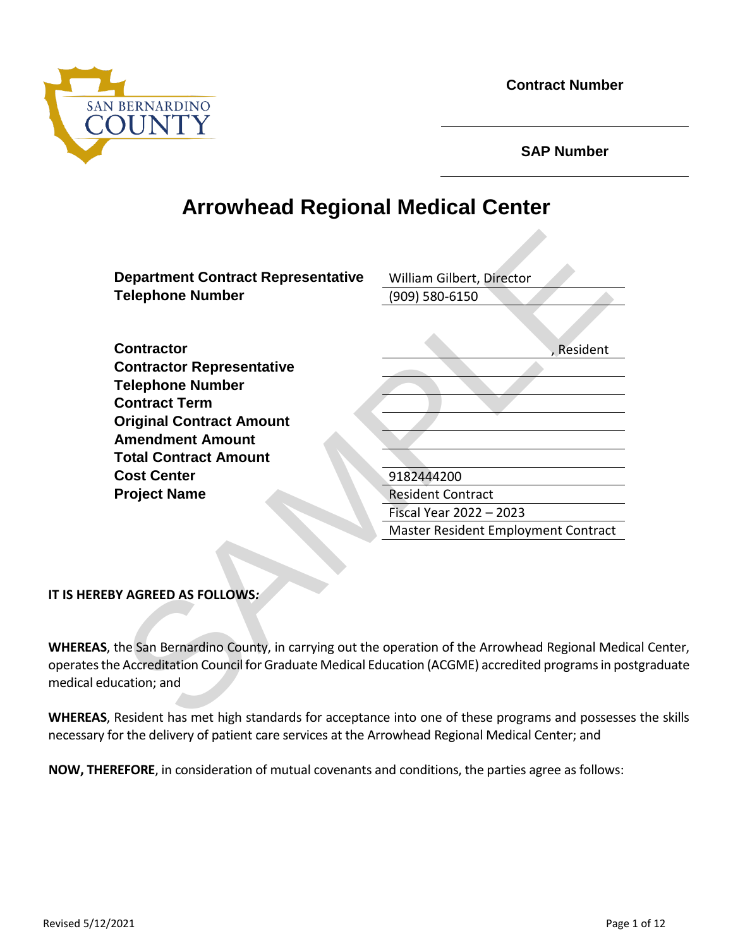**Contract Number**



**SAP Number**

# **Arrowhead Regional Medical Center**

| <b>Department Contract Representative</b><br><b>Telephone Number</b>                                                                                                                               | William Gilbert, Director<br>(909) 580-6150 |
|----------------------------------------------------------------------------------------------------------------------------------------------------------------------------------------------------|---------------------------------------------|
|                                                                                                                                                                                                    |                                             |
| <b>Contractor</b><br><b>Contractor Representative</b>                                                                                                                                              | , Resident                                  |
| <b>Telephone Number</b><br><b>Contract Term</b>                                                                                                                                                    |                                             |
| <b>Original Contract Amount</b><br><b>Amendment Amount</b>                                                                                                                                         |                                             |
| <b>Total Contract Amount</b>                                                                                                                                                                       |                                             |
| <b>Cost Center</b>                                                                                                                                                                                 | 9182444200                                  |
| <b>Project Name</b>                                                                                                                                                                                | <b>Resident Contract</b>                    |
|                                                                                                                                                                                                    | Fiscal Year 2022 - 2023                     |
|                                                                                                                                                                                                    | Master Resident Employment Contract         |
| <b>BY AGREED AS FOLLOWS:</b>                                                                                                                                                                       |                                             |
|                                                                                                                                                                                                    |                                             |
| the San Bernardino County, in carrying out the operation of the Arrowhead Regional Med<br>e Accreditation Council for Graduate Medical Education (ACGME) accredited programs in po<br>ucation; and |                                             |
| Resident has met high standards for acceptance into one of these programs and possess                                                                                                              |                                             |

#### **IT IS HEREBY AGREED AS FOLLOWS***:*

**WHEREAS**, the San Bernardino County, in carrying out the operation of the Arrowhead Regional Medical Center, operates the Accreditation Council for Graduate Medical Education (ACGME) accredited programs in postgraduate medical education; and

**WHEREAS**, Resident has met high standards for acceptance into one of these programs and possesses the skills necessary for the delivery of patient care services at the Arrowhead Regional Medical Center; and

**NOW, THEREFORE**, in consideration of mutual covenants and conditions, the parties agree as follows: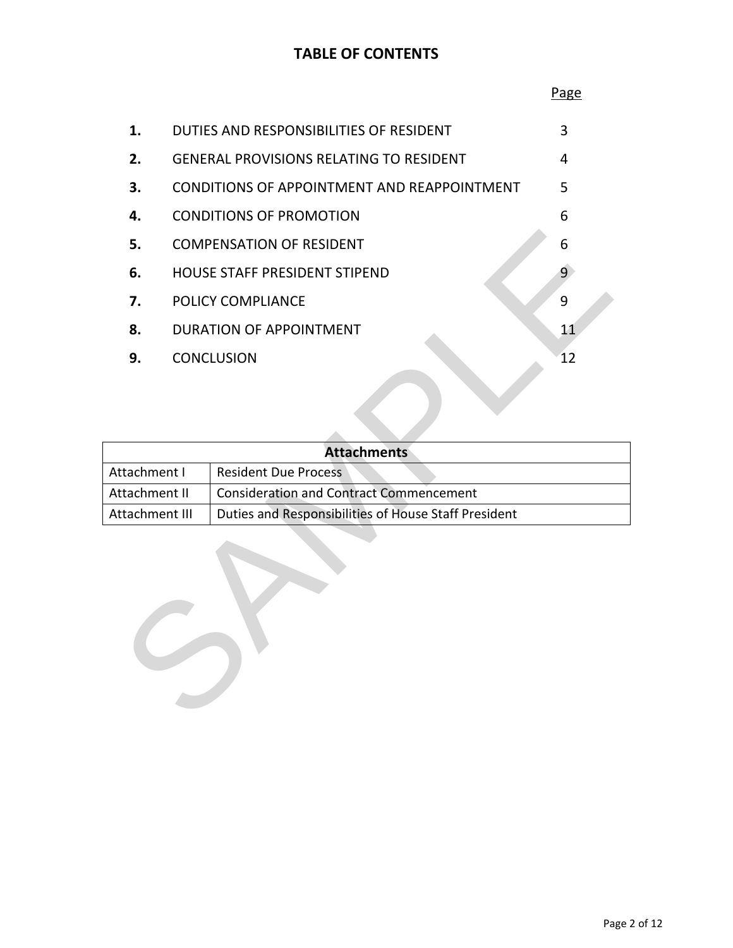## **TABLE OF CONTENTS**

|                                        |                                                                                                        | Page           |
|----------------------------------------|--------------------------------------------------------------------------------------------------------|----------------|
| 1.                                     | DUTIES AND RESPONSIBILITIES OF RESIDENT                                                                | 3              |
| 2.                                     | <b>GENERAL PROVISIONS RELATING TO RESIDENT</b>                                                         | 4              |
| 3.                                     | CONDITIONS OF APPOINTMENT AND REAPPOINTMENT                                                            | 5              |
| 4.                                     | <b>CONDITIONS OF PROMOTION</b>                                                                         | 6              |
| 5.                                     | <b>COMPENSATION OF RESIDENT</b>                                                                        | 6              |
| 6.                                     | HOUSE STAFF PRESIDENT STIPEND                                                                          | $\overline{9}$ |
| 7.                                     | POLICY COMPLIANCE                                                                                      | 9              |
| 8.                                     | <b>DURATION OF APPOINTMENT</b>                                                                         | 11             |
| 9.                                     | <b>CONCLUSION</b>                                                                                      | 12             |
|                                        |                                                                                                        |                |
|                                        | <b>Attachments</b>                                                                                     |                |
| Attachment I                           | <b>Resident Due Process</b>                                                                            |                |
| <b>kttachment II</b><br>Attachment III | <b>Consideration and Contract Commencement</b><br>Duties and Responsibilities of House Staff President |                |
|                                        |                                                                                                        |                |

|                | <b>Attachments</b>                                   |
|----------------|------------------------------------------------------|
| Attachment I   | <b>Resident Due Process</b>                          |
| Attachment II  | <b>Consideration and Contract Commencement</b>       |
| Attachment III | Duties and Responsibilities of House Staff President |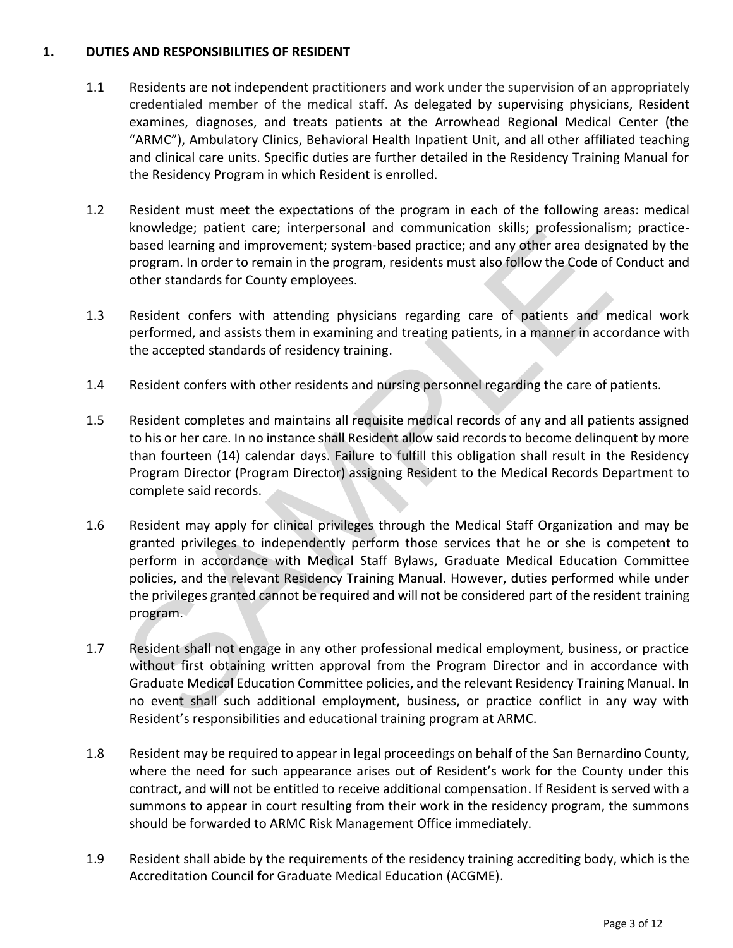#### **1. DUTIES AND RESPONSIBILITIES OF RESIDENT**

- 1.1 Residents are not independent practitioners and work under the supervision of an appropriately credentialed member of the medical staff. As delegated by supervising physicians, Resident examines, diagnoses, and treats patients at the Arrowhead Regional Medical Center (the "ARMC"), Ambulatory Clinics, Behavioral Health Inpatient Unit, and all other affiliated teaching and clinical care units. Specific duties are further detailed in the Residency Training Manual for the Residency Program in which Resident is enrolled.
- 1.2 Resident must meet the expectations of the program in each of the following areas: medical knowledge; patient care; interpersonal and communication skills; professionalism; practicebased learning and improvement; system-based practice; and any other area designated by the program. In order to remain in the program, residents must also follow the Code of Conduct and other standards for County employees.
- 1.3 Resident confers with attending physicians regarding care of patients and medical work performed, and assists them in examining and treating patients, in a manner in accordance with the accepted standards of residency training.
- 1.4 Resident confers with other residents and nursing personnel regarding the care of patients.
- 1.5 Resident completes and maintains all requisite medical records of any and all patients assigned to his or her care. In no instance shall Resident allow said records to become delinquent by more than fourteen (14) calendar days. Failure to fulfill this obligation shall result in the Residency Program Director (Program Director) assigning Resident to the Medical Records Department to complete said records.
- 1.6 Resident may apply for clinical privileges through the Medical Staff Organization and may be granted privileges to independently perform those services that he or she is competent to perform in accordance with Medical Staff Bylaws, Graduate Medical Education Committee policies, and the relevant Residency Training Manual. However, duties performed while under the privileges granted cannot be required and will not be considered part of the resident training program. Nowevely, patent care, the personal anti-diminimation ssint, protessional and<br>based learning and improvement; system-based practice; and any other area desiprogram. In order to remain in the program, residents must also fo
- 1.7 Resident shall not engage in any other professional medical employment, business, or practice without first obtaining written approval from the Program Director and in accordance with Graduate Medical Education Committee policies, and the relevant Residency Training Manual. In no event shall such additional employment, business, or practice conflict in any way with Resident's responsibilities and educational training program at ARMC.
- 1.8 Resident may be required to appear in legal proceedings on behalf of the San Bernardino County, where the need for such appearance arises out of Resident's work for the County under this contract, and will not be entitled to receive additional compensation. If Resident is served with a summons to appear in court resulting from their work in the residency program, the summons should be forwarded to ARMC Risk Management Office immediately.
- 1.9 Resident shall abide by the requirements of the residency training accrediting body, which is the Accreditation Council for Graduate Medical Education (ACGME).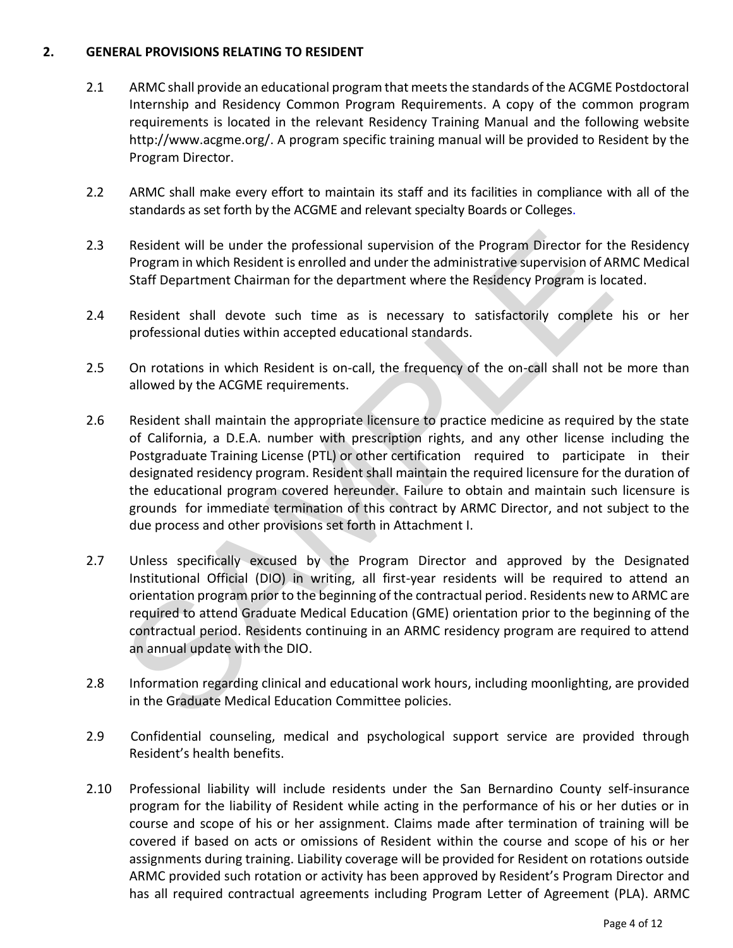#### **2. GENERAL PROVISIONS RELATING TO RESIDENT**

- 2.1 ARMC shall provide an educational program that meets the standards of the ACGME Postdoctoral Internship and Residency Common Program Requirements. A copy of the common program requirements is located in the relevant Residency Training Manual and the following website http://www.acgme.org/. A program specific training manual will be provided to Resident by the Program Director.
- 2.2 ARMC shall make every effort to maintain its staff and its facilities in compliance with all of the standards as set forth by the ACGME and relevant specialty Boards or Colleges.
- 2.3 Resident will be under the professional supervision of the Program Director for the Residency Program in which Resident is enrolled and under the administrative supervision of ARMC Medical Staff Department Chairman for the department where the Residency Program is located.
- 2.4 Resident shall devote such time as is necessary to satisfactorily complete his or her professional duties within accepted educational standards.
- 2.5 On rotations in which Resident is on-call, the frequency of the on-call shall not be more than allowed by the ACGME requirements.
- 2.6 Resident shall maintain the appropriate licensure to practice medicine as required by the state of California, a D.E.A. number with prescription rights, and any other license including the Postgraduate Training License (PTL) or other certification required to participate in their designated residency program. Resident shall maintain the required licensure for the duration of the educational program covered hereunder. Failure to obtain and maintain such licensure is grounds for immediate termination of this contract by ARMC Director, and not subject to the due process and other provisions set forth in Attachment I. Resident will be under the professional supervision of the Program Director for Program in which Resident is enrolled and under the administrative supervision of A<br>Staff Department Chairman for the department where the Res
- 2.7 Unless specifically excused by the Program Director and approved by the Designated Institutional Official (DIO) in writing, all first-year residents will be required to attend an orientation program prior to the beginning of the contractual period. Residents new to ARMC are required to attend Graduate Medical Education (GME) orientation prior to the beginning of the contractual period. Residents continuing in an ARMC residency program are required to attend an annual update with the DIO.
- 2.8 Information regarding clinical and educational work hours, including moonlighting, are provided in the Graduate Medical Education Committee policies.
- 2.9 Confidential counseling, medical and psychological support service are provided through Resident's health benefits.
- 2.10 Professional liability will include residents under the San Bernardino County self-insurance program for the liability of Resident while acting in the performance of his or her duties or in course and scope of his or her assignment. Claims made after termination of training will be covered if based on acts or omissions of Resident within the course and scope of his or her assignments during training. Liability coverage will be provided for Resident on rotations outside ARMC provided such rotation or activity has been approved by Resident's Program Director and has all required contractual agreements including Program Letter of Agreement (PLA). ARMC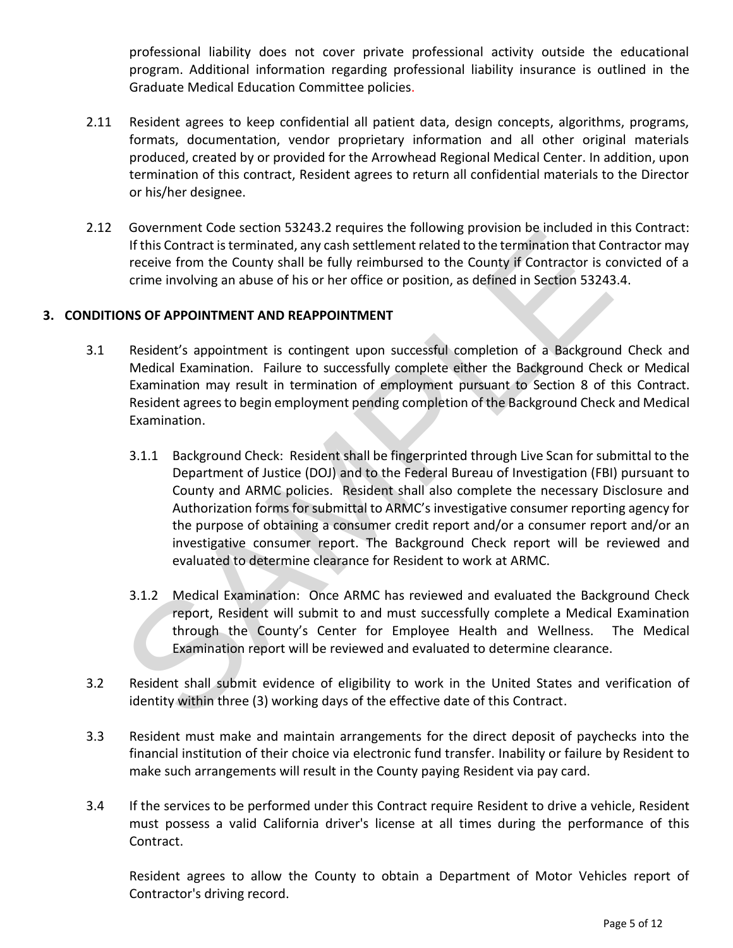professional liability does not cover private professional activity outside the educational program. Additional information regarding professional liability insurance is outlined in the Graduate Medical Education Committee policies.

- 2.11 Resident agrees to keep confidential all patient data, design concepts, algorithms, programs, formats, documentation, vendor proprietary information and all other original materials produced, created by or provided for the Arrowhead Regional Medical Center. In addition, upon termination of this contract, Resident agrees to return all confidential materials to the Director or his/her designee.
- 2.12 Government Code section 53243.2 requires the following provision be included in this Contract: If this Contract is terminated, any cash settlement related to the termination that Contractor may receive from the County shall be fully reimbursed to the County if Contractor is convicted of a crime involving an abuse of his or her office or position, as defined in Section 53243.4.

#### **3. CONDITIONS OF APPOINTMENT AND REAPPOINTMENT**

- 3.1 Resident's appointment is contingent upon successful completion of a Background Check and Medical Examination. Failure to successfully complete either the Background Check or Medical Examination may result in termination of employment pursuant to Section 8 of this Contract. Resident agrees to begin employment pending completion of the Background Check and Medical Examination.
- 3.1.1 Background Check: Resident shall be fingerprinted through Live Scan for submittal to the Department of Justice (DOJ) and to the Federal Bureau of Investigation (FBI) pursuant to County and ARMC policies. Resident shall also complete the necessary Disclosure and Authorization forms for submittal to ARMC's investigative consumer reporting agency for the purpose of obtaining a consumer credit report and/or a consumer report and/or an investigative consumer report. The Background Check report will be reviewed and evaluated to determine clearance for Resident to work at ARMC. Solution to the seculor 32x-4x-2 requires the looking provision to enhance in<br>
If this Contract is terminated, any cash settlement related to the termination that Correct<br>
receive from the County shall be fully reimbursed
	- 3.1.2 Medical Examination: Once ARMC has reviewed and evaluated the Background Check report, Resident will submit to and must successfully complete a Medical Examination through the County's Center for Employee Health and Wellness. The Medical Examination report will be reviewed and evaluated to determine clearance.
- 3.2 Resident shall submit evidence of eligibility to work in the United States and verification of identity within three (3) working days of the effective date of this Contract.
- 3.3 Resident must make and maintain arrangements for the direct deposit of paychecks into the financial institution of their choice via electronic fund transfer. Inability or failure by Resident to make such arrangements will result in the County paying Resident via pay card.
- 3.4 If the services to be performed under this Contract require Resident to drive a vehicle, Resident must possess a valid California driver's license at all times during the performance of this Contract.

Resident agrees to allow the County to obtain a Department of Motor Vehicles report of Contractor's driving record.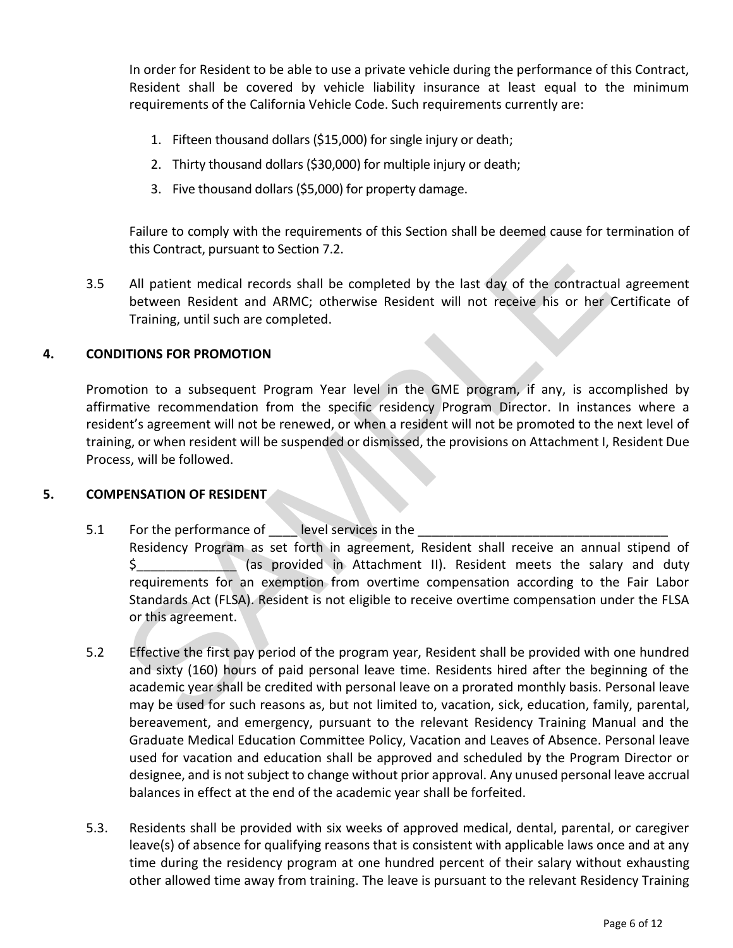In order for Resident to be able to use a private vehicle during the performance of this Contract, Resident shall be covered by vehicle liability insurance at least equal to the minimum requirements of the California Vehicle Code. Such requirements currently are:

- 1. Fifteen thousand dollars (\$15,000) for single injury or death;
- 2. Thirty thousand dollars (\$30,000) for multiple injury or death;
- 3. Five thousand dollars (\$5,000) for property damage.

Failure to comply with the requirements of this Section shall be deemed cause for termination of this Contract, pursuant to Section 7.2.

3.5 All patient medical records shall be completed by the last day of the contractual agreement between Resident and ARMC; otherwise Resident will not receive his or her Certificate of Training, until such are completed.

#### **4. CONDITIONS FOR PROMOTION**

Promotion to a subsequent Program Year level in the GME program, if any, is accomplished by affirmative recommendation from the specific residency Program Director. In instances where a resident's agreement will not be renewed, or when a resident will not be promoted to the next level of training, or when resident will be suspended or dismissed, the provisions on Attachment I, Resident Due Process, will be followed.

#### **5. COMPENSATION OF RESIDENT**

- 5.1 For the performance of level services in the Residency Program as set forth in agreement, Resident shall receive an annual stipend of \$ (as provided in Attachment II). Resident meets the salary and duty requirements for an exemption from overtime compensation according to the Fair Labor Standards Act (FLSA). Resident is not eligible to receive overtime compensation under the FLSA or this agreement. Failure to comply with the requirements of this Section shall be deemed cause for this Contract, pursuant to Section 7.2.<br>All patient medical records shall be completed by the last day of the contractual<br>texturen Resident
- 5.2 Effective the first pay period of the program year, Resident shall be provided with one hundred and sixty (160) hours of paid personal leave time. Residents hired after the beginning of the academic year shall be credited with personal leave on a prorated monthly basis. Personal leave may be used for such reasons as, but not limited to, vacation, sick, education, family, parental, bereavement, and emergency, pursuant to the relevant Residency Training Manual and the Graduate Medical Education Committee Policy, Vacation and Leaves of Absence. Personal leave used for vacation and education shall be approved and scheduled by the Program Director or designee, and is not subject to change without prior approval. Any unused personal leave accrual balances in effect at the end of the academic year shall be forfeited.
- 5.3. Residents shall be provided with six weeks of approved medical, dental, parental, or caregiver leave(s) of absence for qualifying reasons that is consistent with applicable laws once and at any time during the residency program at one hundred percent of their salary without exhausting other allowed time away from training. The leave is pursuant to the relevant Residency Training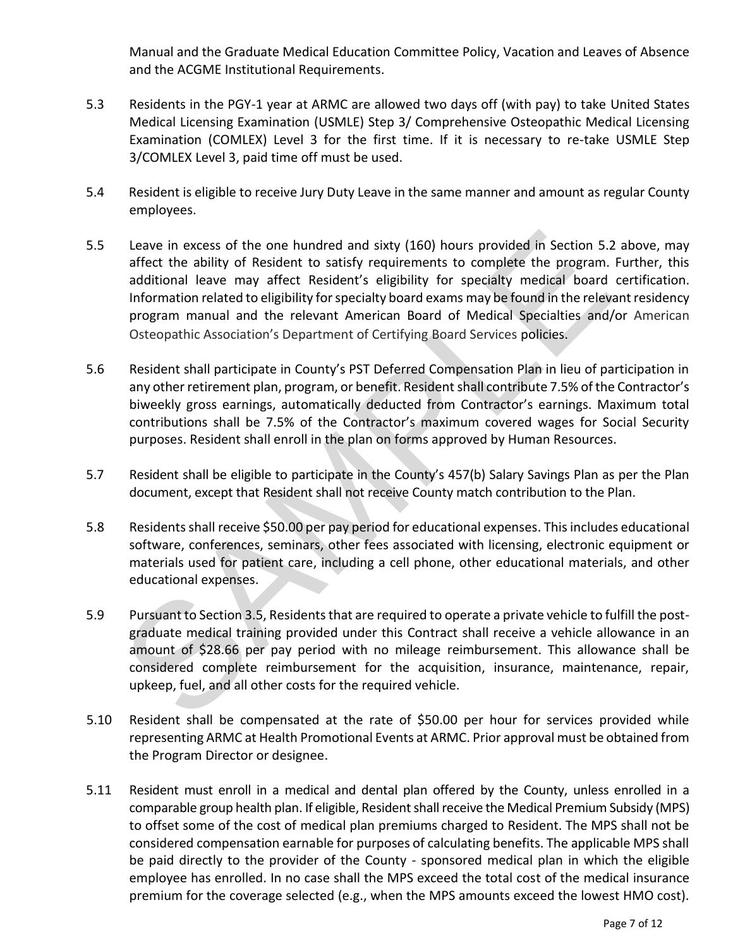Manual and the Graduate Medical Education Committee Policy, Vacation and Leaves of Absence and the ACGME Institutional Requirements.

- 5.3 Residents in the PGY-1 year at ARMC are allowed two days off (with pay) to take United States Medical Licensing Examination (USMLE) Step 3/ Comprehensive Osteopathic Medical Licensing Examination (COMLEX) Level 3 for the first time. If it is necessary to re-take USMLE Step 3/COMLEX Level 3, paid time off must be used.
- 5.4 Resident is eligible to receive Jury Duty Leave in the same manner and amount as regular County employees.
- 5.5 Leave in excess of the one hundred and sixty (160) hours provided in Section 5.2 above, may affect the ability of Resident to satisfy requirements to complete the program. Further, this additional leave may affect Resident's eligibility for specialty medical board certification. Information related to eligibility for specialty board exams may be found in the relevant residency program manual and the relevant American Board of Medical Specialties and/or American Osteopathic Association's Department of Certifying Board Services policies. Leave in excess of the one hundred and sixty (160) hours provided in Section 5.<br>
affect the ability of Resident to satisfy requirements to complete the program.<br>
and<br>
anditional leave may affect Resident's eligibility for
- 5.6 Resident shall participate in County's PST Deferred Compensation Plan in lieu of participation in any other retirement plan, program, or benefit. Resident shall contribute 7.5% of the Contractor's biweekly gross earnings, automatically deducted from Contractor's earnings. Maximum total contributions shall be 7.5% of the Contractor's maximum covered wages for Social Security purposes. Resident shall enroll in the plan on forms approved by Human Resources.
- 5.7 Resident shall be eligible to participate in the County's 457(b) Salary Savings Plan as per the Plan document, except that Resident shall not receive County match contribution to the Plan.
- 5.8 Residents shall receive \$50.00 per pay period for educational expenses. This includes educational software, conferences, seminars, other fees associated with licensing, electronic equipment or materials used for patient care, including a cell phone, other educational materials, and other educational expenses.
- 5.9 Pursuant to Section 3.5, Residents that are required to operate a private vehicle to fulfill the postgraduate medical training provided under this Contract shall receive a vehicle allowance in an amount of \$28.66 per pay period with no mileage reimbursement. This allowance shall be considered complete reimbursement for the acquisition, insurance, maintenance, repair, upkeep, fuel, and all other costs for the required vehicle.
- 5.10 Resident shall be compensated at the rate of \$50.00 per hour for services provided while representing ARMC at Health Promotional Events at ARMC. Prior approval must be obtained from the Program Director or designee.
- 5.11 Resident must enroll in a medical and dental plan offered by the County, unless enrolled in a comparable group health plan. If eligible, Resident shall receive the Medical Premium Subsidy (MPS) to offset some of the cost of medical plan premiums charged to Resident. The MPS shall not be considered compensation earnable for purposes of calculating benefits. The applicable MPS shall be paid directly to the provider of the County - sponsored medical plan in which the eligible employee has enrolled. In no case shall the MPS exceed the total cost of the medical insurance premium for the coverage selected (e.g., when the MPS amounts exceed the lowest HMO cost).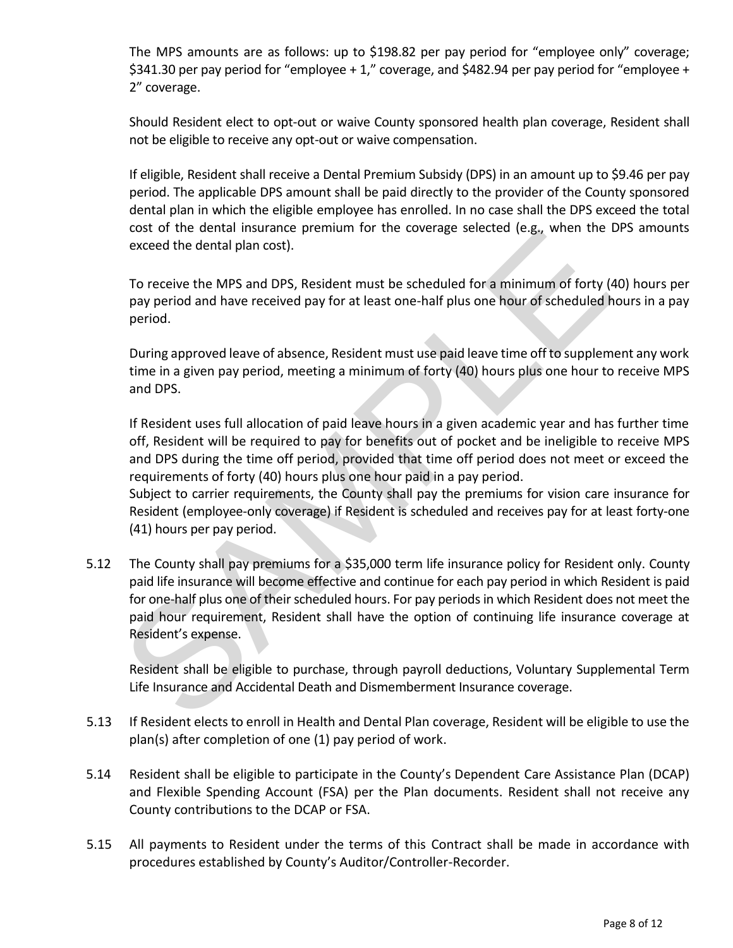The MPS amounts are as follows: up to \$198.82 per pay period for "employee only" coverage; \$341.30 per pay period for "employee + 1," coverage, and \$482.94 per pay period for "employee + 2" coverage.

Should Resident elect to opt-out or waive County sponsored health plan coverage, Resident shall not be eligible to receive any opt-out or waive compensation.

If eligible, Resident shall receive a Dental Premium Subsidy (DPS) in an amount up to \$9.46 per pay period. The applicable DPS amount shall be paid directly to the provider of the County sponsored dental plan in which the eligible employee has enrolled. In no case shall the DPS exceed the total cost of the dental insurance premium for the coverage selected (e.g., when the DPS amounts exceed the dental plan cost).

To receive the MPS and DPS, Resident must be scheduled for a minimum of forty (40) hours per pay period and have received pay for at least one-half plus one hour of scheduled hours in a pay period.

During approved leave of absence, Resident must use paid leave time off to supplement any work time in a given pay period, meeting a minimum of forty (40) hours plus one hour to receive MPS and DPS.

If Resident uses full allocation of paid leave hours in a given academic year and has further time off, Resident will be required to pay for benefits out of pocket and be ineligible to receive MPS and DPS during the time off period, provided that time off period does not meet or exceed the requirements of forty (40) hours plus one hour paid in a pay period.

Subject to carrier requirements, the County shall pay the premiums for vision care insurance for Resident (employee-only coverage) if Resident is scheduled and receives pay for at least forty-one (41) hours per pay period.

5.12 The County shall pay premiums for a \$35,000 term life insurance policy for Resident only. County paid life insurance will become effective and continue for each pay period in which Resident is paid for one-half plus one of their scheduled hours. For pay periods in which Resident does not meet the paid hour requirement, Resident shall have the option of continuing life insurance coverage at Resident's expense. toxt of the tentar mistainee premuminor the coverage selected (e.g., when the<br>To receive the MPS and DPS, Resident must be scheduled for a minimum of forty (<br>ay period and have received pay for at least one-half plus one h

Resident shall be eligible to purchase, through payroll deductions, Voluntary Supplemental Term Life Insurance and Accidental Death and Dismemberment Insurance coverage.

- 5.13 If Resident elects to enroll in Health and Dental Plan coverage, Resident will be eligible to use the plan(s) after completion of one (1) pay period of work.
- 5.14 Resident shall be eligible to participate in the County's Dependent Care Assistance Plan (DCAP) and Flexible Spending Account (FSA) per the Plan documents. Resident shall not receive any County contributions to the DCAP or FSA.
- 5.15 All payments to Resident under the terms of this Contract shall be made in accordance with procedures established by County's Auditor/Controller-Recorder.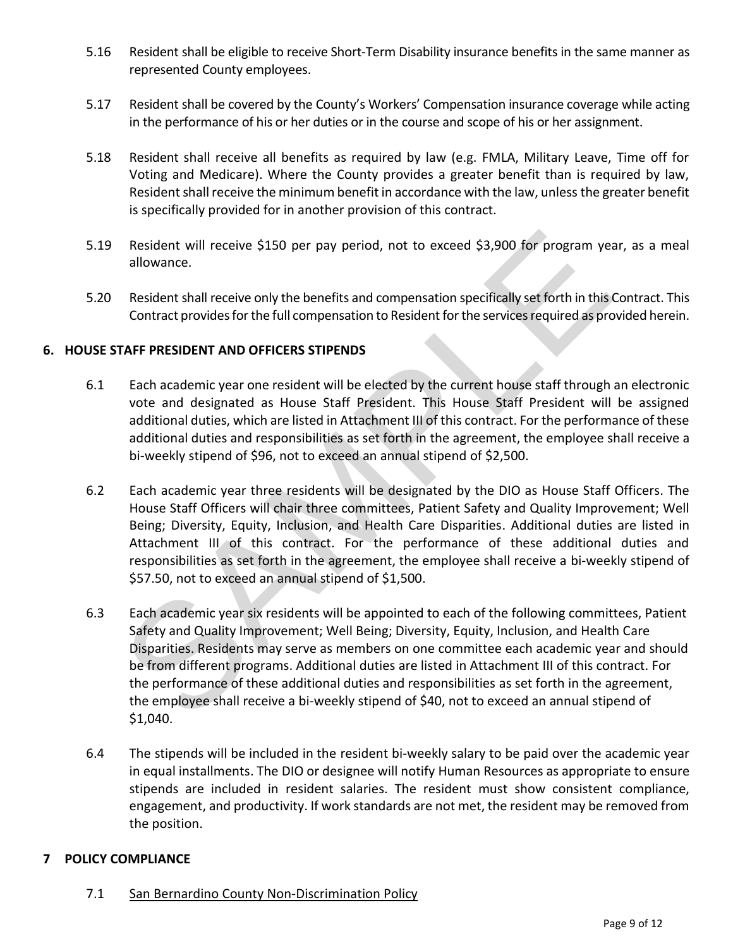- 5.16 Resident shall be eligible to receive Short-Term Disability insurance benefits in the same manner as represented County employees.
- 5.17 Resident shall be covered by the County's Workers' Compensation insurance coverage while acting in the performance of his or her duties or in the course and scope of his or her assignment.
- 5.18 Resident shall receive all benefits as required by law (e.g. FMLA, Military Leave, Time off for Voting and Medicare). Where the County provides a greater benefit than is required by law, Resident shall receive the minimum benefit in accordance with the law, unless the greater benefit is specifically provided for in another provision of this contract.
- 5.19 Resident will receive \$150 per pay period, not to exceed \$3,900 for program year, as a meal allowance.
- 5.20 Resident shall receive only the benefits and compensation specifically set forth in this Contract. This Contract provides for the full compensation to Resident for the services required as provided herein.

#### **6. HOUSE STAFF PRESIDENT AND OFFICERS STIPENDS**

- 6.1 Each academic year one resident will be elected by the current house staff through an electronic vote and designated as House Staff President. This House Staff President will be assigned additional duties, which are listed in Attachment III of this contract. For the performance of these additional duties and responsibilities as set forth in the agreement, the employee shall receive a bi-weekly stipend of \$96, not to exceed an annual stipend of \$2,500.
- 6.2 Each academic year three residents will be designated by the DIO as House Staff Officers. The House Staff Officers will chair three committees, Patient Safety and Quality Improvement; Well Being; Diversity, Equity, Inclusion, and Health Care Disparities. Additional duties are listed in Attachment III of this contract. For the performance of these additional duties and responsibilities as set forth in the agreement, the employee shall receive a bi-weekly stipend of \$57.50, not to exceed an annual stipend of \$1,500.
- 6.3 Each academic year six residents will be appointed to each of the following committees, Patient Safety and Quality Improvement; Well Being; Diversity, Equity, Inclusion, and Health Care Disparities. Residents may serve as members on one committee each academic year and should be from different programs. Additional duties are listed in Attachment III of this contract. For the performance of these additional duties and responsibilities as set forth in the agreement, the employee shall receive a bi-weekly stipend of \$40, not to exceed an annual stipend of \$1,040. Resident will receive \$150 per pay period, not to exceed \$3,900 for program ye<br>allowance.<br>Resident shall receive only the benefits and compensation specifically set forth in this<br>Contract provides for the full compensation
- 6.4 The stipends will be included in the resident bi-weekly salary to be paid over the academic year in equal installments. The DIO or designee will notify Human Resources as appropriate to ensure stipends are included in resident salaries. The resident must show consistent compliance, engagement, and productivity. If work standards are not met, the resident may be removed from the position.

#### **7 POLICY COMPLIANCE**

7.1 San Bernardino County Non-Discrimination Policy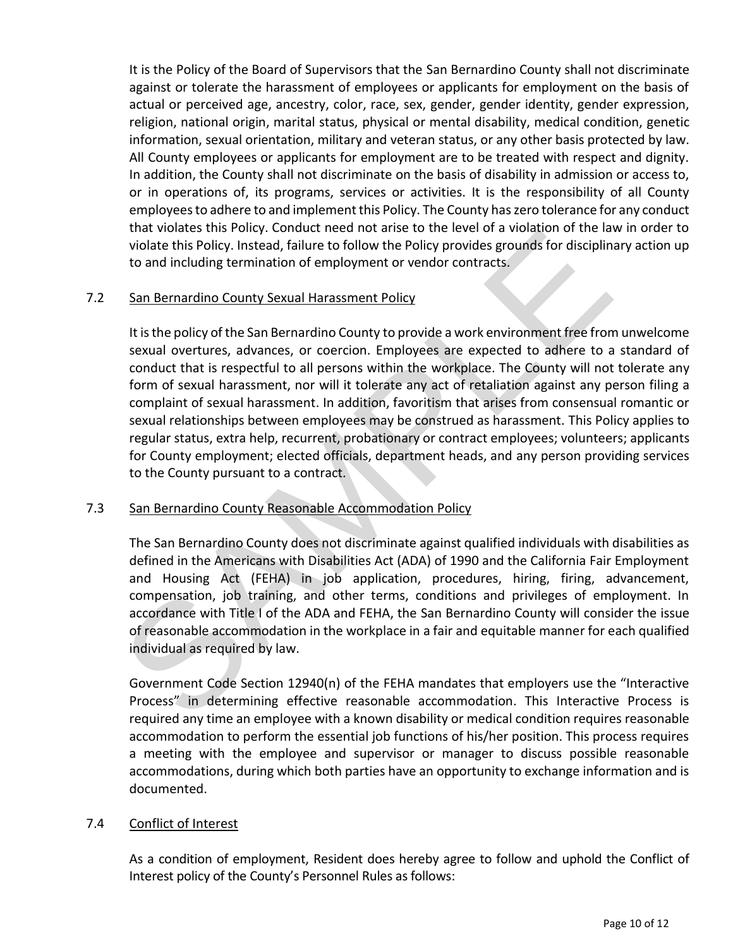It is the Policy of the Board of Supervisors that the San Bernardino County shall not discriminate against or tolerate the harassment of employees or applicants for employment on the basis of actual or perceived age, ancestry, color, race, sex, gender, gender identity, gender expression, religion, national origin, marital status, physical or mental disability, medical condition, genetic information, sexual orientation, military and veteran status, or any other basis protected by law. All County employees or applicants for employment are to be treated with respect and dignity. In addition, the County shall not discriminate on the basis of disability in admission or access to, or in operations of, its programs, services or activities. It is the responsibility of all County employees to adhere to and implement this Policy. The County has zero tolerance for any conduct that violates this Policy. Conduct need not arise to the level of a violation of the law in order to violate this Policy. Instead, failure to follow the Policy provides grounds for disciplinary action up to and including termination of employment or vendor contracts.

#### 7.2 San Bernardino County Sexual Harassment Policy

It is the policy of the San Bernardino County to provide a work environment free from unwelcome sexual overtures, advances, or coercion. Employees are expected to adhere to a standard of conduct that is respectful to all persons within the workplace. The County will not tolerate any form of sexual harassment, nor will it tolerate any act of retaliation against any person filing a complaint of sexual harassment. In addition, favoritism that arises from consensual romantic or sexual relationships between employees may be construed as harassment. This Policy applies to regular status, extra help, recurrent, probationary or contract employees; volunteers; applicants for County employment; elected officials, department heads, and any person providing services to the County pursuant to a contract. ind violate this Policy. Conduct need into the lot are to the level of a violate of spin widels this Policy, Instead, failure to follow the Policy provides grounds for disciplinties to and including termination of employme

#### 7.3 San Bernardino County Reasonable Accommodation Policy

The San Bernardino County does not discriminate against qualified individuals with disabilities as defined in the Americans with Disabilities Act (ADA) of 1990 and the California Fair Employment and Housing Act (FEHA) in job application, procedures, hiring, firing, advancement, compensation, job training, and other terms, conditions and privileges of employment. In accordance with Title I of the ADA and FEHA, the San Bernardino County will consider the issue of reasonable accommodation in the workplace in a fair and equitable manner for each qualified individual as required by law.

Government Code Section 12940(n) of the FEHA mandates that employers use the "Interactive Process" in determining effective reasonable accommodation. This Interactive Process is required any time an employee with a known disability or medical condition requires reasonable accommodation to perform the essential job functions of his/her position. This process requires a meeting with the employee and supervisor or manager to discuss possible reasonable accommodations, during which both parties have an opportunity to exchange information and is documented.

#### 7.4 Conflict of Interest

As a condition of employment, Resident does hereby agree to follow and uphold the Conflict of Interest policy of the County's Personnel Rules as follows: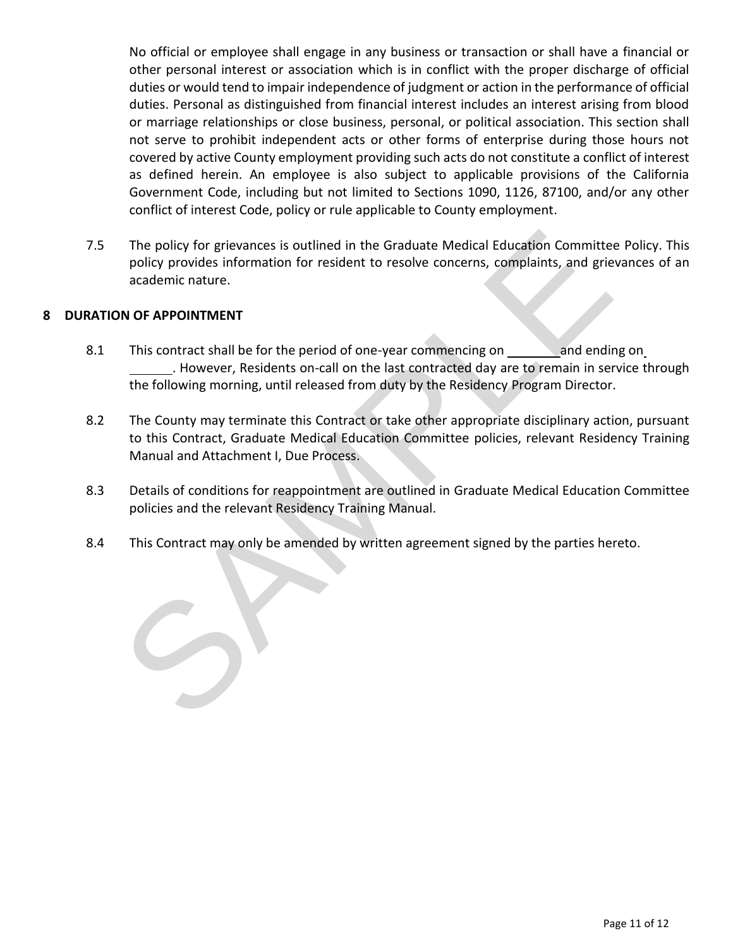No official or employee shall engage in any business or transaction or shall have a financial or other personal interest or association which is in conflict with the proper discharge of official duties or would tend to impair independence of judgment or action in the performance of official duties. Personal as distinguished from financial interest includes an interest arising from blood or marriage relationships or close business, personal, or political association. This section shall not serve to prohibit independent acts or other forms of enterprise during those hours not covered by active County employment providing such acts do not constitute a conflict of interest as defined herein. An employee is also subject to applicable provisions of the California Government Code, including but not limited to Sections 1090, 1126, 87100, and/or any other conflict of interest Code, policy or rule applicable to County employment.

7.5 The policy for grievances is outlined in the Graduate Medical Education Committee Policy. This policy provides information for resident to resolve concerns, complaints, and grievances of an academic nature.

#### **8 DURATION OF APPOINTMENT**

- 8.1 This contract shall be for the period of one-year commencing on and ending on . However, Residents on-call on the last contracted day are to remain in service through the following morning, until released from duty by the Residency Program Director.
- 8.2 The County may terminate this Contract or take other appropriate disciplinary action, pursuant to this Contract, Graduate Medical Education Committee policies, relevant Residency Training Manual and Attachment I, Due Process. The policy for grievances is outlined in the Graduate Medical Education Committ<br>policy provides information for resident to resolve concerns, complaints, and grie<br>academic nature.<br>No OF APPOINTMENT<br>This contract shall be f
- 8.3 Details of conditions for reappointment are outlined in Graduate Medical Education Committee policies and the relevant Residency Training Manual.
- 8.4 This Contract may only be amended by written agreement signed by the parties hereto.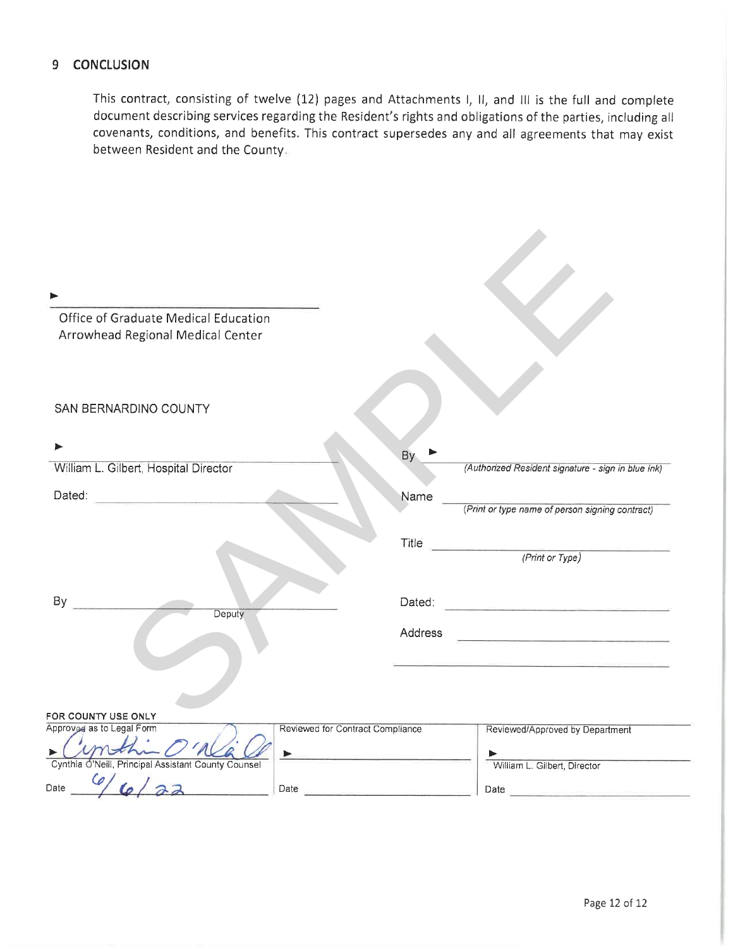#### 9 CONCLUSION

This contract, consisting of twelve (12) pages and Attachments I, II, and III is the full and complete document describing services regarding the Resident's rights and obligations of the parties, including all covenants, conditions, and benefits. This contract supersedes any and all agreements that may exist between Resident and the County.

| Office of Graduate Medical Education<br>Arrowhead Regional Medical Center                                                                                                                                                      |                                  |              |                                                                                                                                                                                                                                                                |
|--------------------------------------------------------------------------------------------------------------------------------------------------------------------------------------------------------------------------------|----------------------------------|--------------|----------------------------------------------------------------------------------------------------------------------------------------------------------------------------------------------------------------------------------------------------------------|
| SAN BERNARDINO COUNTY                                                                                                                                                                                                          |                                  |              |                                                                                                                                                                                                                                                                |
| William L. Gilbert, Hospital Director                                                                                                                                                                                          |                                  | Bv           | (Authorized Resident signature - sign in blue ink)                                                                                                                                                                                                             |
| Dated: National Property of the Contract of the Contract of the Contract of the Contract of the Contract of the Contract of the Contract of the Contract of the Contract of the Contract of the Contract of the Contract of th |                                  | Name         | (Print or type name of person signing contract)                                                                                                                                                                                                                |
|                                                                                                                                                                                                                                |                                  | <b>Title</b> | <u> 1989 - Johann Harry Harry Harry</u><br>(Print or Type)                                                                                                                                                                                                     |
| By<br>Deputy                                                                                                                                                                                                                   |                                  | Dated:       | <u> 1989 - Jan Berlin, mars de la partide de la partide de la partide de la partide de la partide de la partide d</u><br>La partide de la partide de la partide de la partide de la partide de la partide de la partide de la partide                          |
|                                                                                                                                                                                                                                |                                  | Address      | <u> 1989 - Johann Barbara, martin amerikan ba</u>                                                                                                                                                                                                              |
|                                                                                                                                                                                                                                |                                  |              |                                                                                                                                                                                                                                                                |
| FOR COUNTY USE ONLY                                                                                                                                                                                                            |                                  |              |                                                                                                                                                                                                                                                                |
| Approved as to Legal Form                                                                                                                                                                                                      | Reviewed for Contract Compliance |              | Reviewed/Approved by Department                                                                                                                                                                                                                                |
| Cynthia O'Neill, Principal Assistant County Counsel<br>Date                                                                                                                                                                    | Date $\overline{\phantom{a}}$    |              | William L. Gilbert, Director<br>Date and the contract of the contract of the contract of the contract of the contract of the contract of the contract of the contract of the contract of the contract of the contract of the contract of the contract of the c |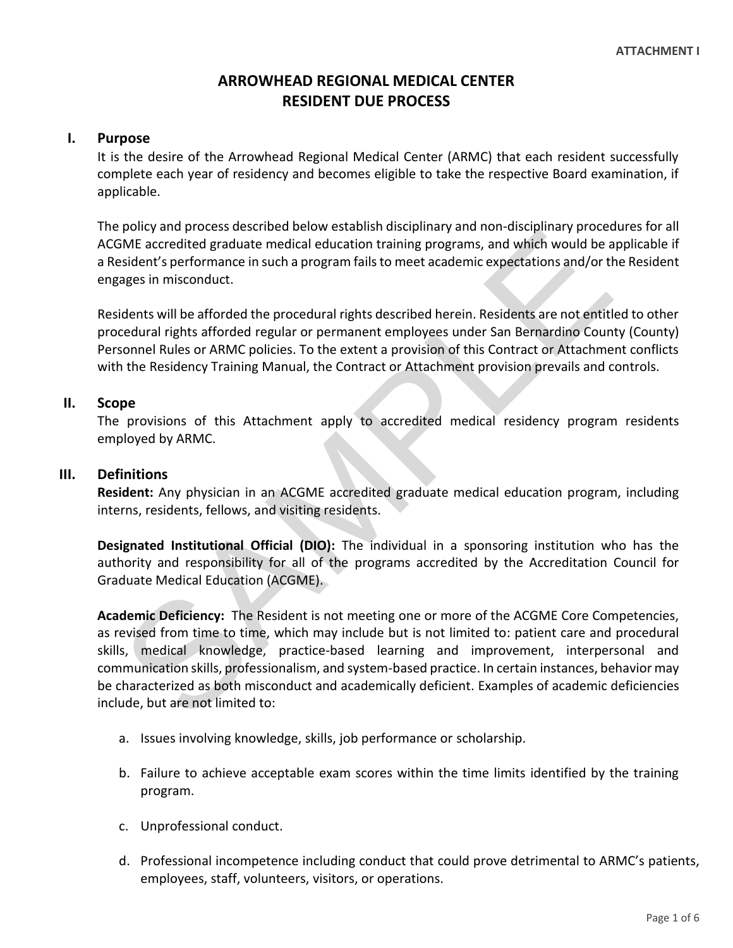### **ARROWHEAD REGIONAL MEDICAL CENTER RESIDENT DUE PROCESS**

#### **I. Purpose**

It is the desire of the Arrowhead Regional Medical Center (ARMC) that each resident successfully complete each year of residency and becomes eligible to take the respective Board examination, if applicable.

The policy and process described below establish disciplinary and non-disciplinary procedures for all ACGME accredited graduate medical education training programs, and which would be applicable if a Resident's performance in such a program fails to meet academic expectations and/or the Resident engages in misconduct.

Residents will be afforded the procedural rights described herein. Residents are not entitled to other procedural rights afforded regular or permanent employees under San Bernardino County (County) Personnel Rules or ARMC policies. To the extent a provision of this Contract or Attachment conflicts with the Residency Training Manual, the Contract or Attachment provision prevails and controls.

#### **II. Scope**

The provisions of this Attachment apply to accredited medical residency program residents employed by ARMC.

#### **III. Definitions**

**Resident:** Any physician in an ACGME accredited graduate medical education program, including interns, residents, fellows, and visiting residents.

**Designated Institutional Official (DIO):** The individual in a sponsoring institution who has the authority and responsibility for all of the programs accredited by the Accreditation Council for Graduate Medical Education (ACGME).

**Academic Deficiency:** The Resident is not meeting one or more of the ACGME Core Competencies, as revised from time to time, which may include but is not limited to: patient care and procedural skills, medical knowledge, practice-based learning and improvement, interpersonal and communication skills, professionalism, and system-based practice. In certain instances, behavior may be characterized as both misconduct and academically deficient. Examples of academic deficiencies include, but are not limited to: Puncy and process usesuated deducation training programs, and which would be<br>accedited graduate medical education training programs, and which would be<br>esident's performance in such a program fails to meet academic expecta

- a. Issues involving knowledge, skills, job performance or scholarship.
- b. Failure to achieve acceptable exam scores within the time limits identified by the training program.
- c. Unprofessional conduct.
- d. Professional incompetence including conduct that could prove detrimental to ARMC's patients, employees, staff, volunteers, visitors, or operations.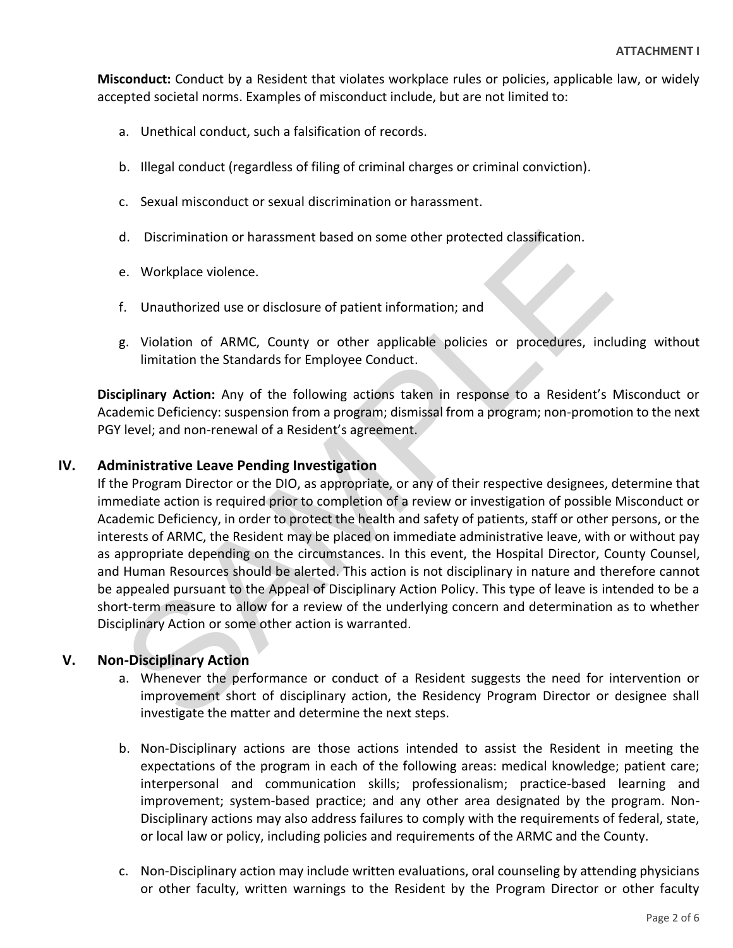**Misconduct:** Conduct by a Resident that violates workplace rules or policies, applicable law, or widely accepted societal norms. Examples of misconduct include, but are not limited to:

- a. Unethical conduct, such a falsification of records.
- b. Illegal conduct (regardless of filing of criminal charges or criminal conviction).
- c. Sexual misconduct or sexual discrimination or harassment.
- d. Discrimination or harassment based on some other protected classification.
- e. Workplace violence.
- f. Unauthorized use or disclosure of patient information; and
- g. Violation of ARMC, County or other applicable policies or procedures, including without limitation the Standards for Employee Conduct.

**Disciplinary Action:** Any of the following actions taken in response to a Resident's Misconduct or Academic Deficiency: suspension from a program; dismissal from a program; non-promotion to the next PGY level; and non-renewal of a Resident's agreement.

#### **IV. Administrative Leave Pending Investigation**

If the Program Director or the DIO, as appropriate, or any of their respective designees, determine that immediate action is required prior to completion of a review or investigation of possible Misconduct or Academic Deficiency, in order to protect the health and safety of patients, staff or other persons, or the interests of ARMC, the Resident may be placed on immediate administrative leave, with or without pay as appropriate depending on the circumstances. In this event, the Hospital Director, County Counsel, and Human Resources should be alerted. This action is not disciplinary in nature and therefore cannot be appealed pursuant to the Appeal of Disciplinary Action Policy. This type of leave is intended to be a short-term measure to allow for a review of the underlying concern and determination as to whether Disciplinary Action or some other action is warranted. d. Discrimination or harassment based on some other protected classification.<br>
e. Workplace violence.<br>
f. Unauthorized use or disclosure of patient information; and<br>
g. Violation of ARMC, County or other applicable policie

#### **V. Non-Disciplinary Action**

- a. Whenever the performance or conduct of a Resident suggests the need for intervention or improvement short of disciplinary action, the Residency Program Director or designee shall investigate the matter and determine the next steps.
- b. Non-Disciplinary actions are those actions intended to assist the Resident in meeting the expectations of the program in each of the following areas: medical knowledge; patient care; interpersonal and communication skills; professionalism; practice-based learning and improvement; system-based practice; and any other area designated by the program. Non-Disciplinary actions may also address failures to comply with the requirements of federal, state, or local law or policy, including policies and requirements of the ARMC and the County.
- c. Non-Disciplinary action may include written evaluations, oral counseling by attending physicians or other faculty, written warnings to the Resident by the Program Director or other faculty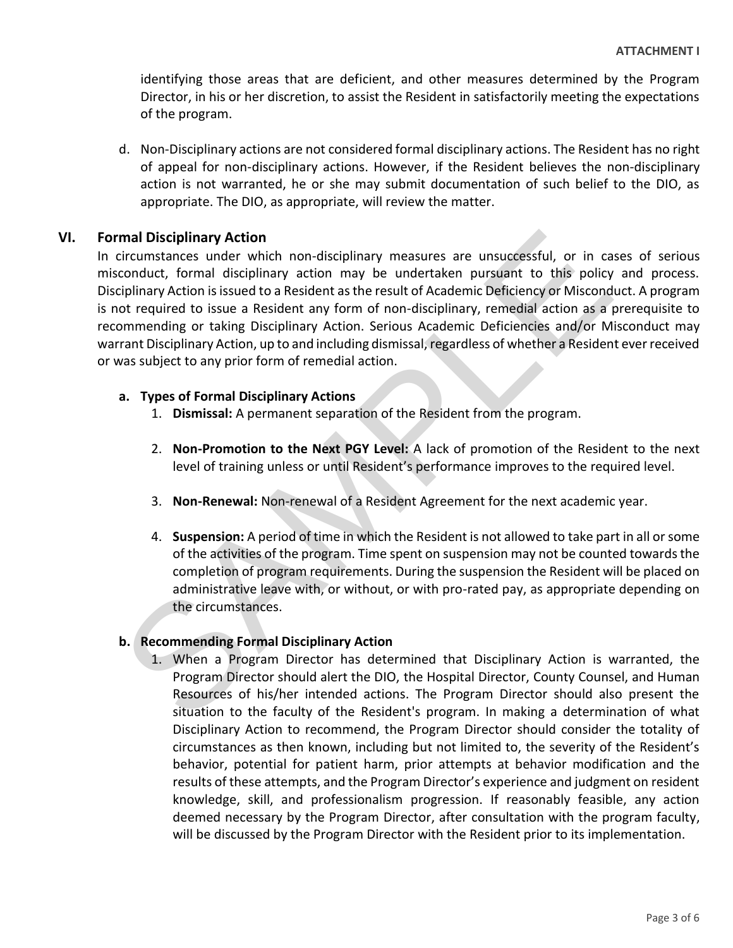identifying those areas that are deficient, and other measures determined by the Program Director, in his or her discretion, to assist the Resident in satisfactorily meeting the expectations of the program.

d. Non-Disciplinary actions are not considered formal disciplinary actions. The Resident has no right of appeal for non-disciplinary actions. However, if the Resident believes the non-disciplinary action is not warranted, he or she may submit documentation of such belief to the DIO, as appropriate. The DIO, as appropriate, will review the matter.

#### **VI. Formal Disciplinary Action**

In circumstances under which non-disciplinary measures are unsuccessful, or in cases of serious misconduct, formal disciplinary action may be undertaken pursuant to this policy and process. Disciplinary Action is issued to a Resident as the result of Academic Deficiency or Misconduct. A program is not required to issue a Resident any form of non-disciplinary, remedial action as a prerequisite to recommending or taking Disciplinary Action. Serious Academic Deficiencies and/or Misconduct may warrant Disciplinary Action, up to and including dismissal, regardless of whether a Resident ever received or was subject to any prior form of remedial action. Franchies under which non-disciplinary measures are unsuccessful, or in circumstrances under which non-disciplinary measures are unsuccessful, or in circumduct, formal disciplinary action may be undertaken pursuant to this

#### **a. Types of Formal Disciplinary Actions**

- 1. **Dismissal:** A permanent separation of the Resident from the program.
- 2. **Non-Promotion to the Next PGY Level:** A lack of promotion of the Resident to the next level of training unless or until Resident's performance improves to the required level.
- 3. **Non-Renewal:** Non-renewal of a Resident Agreement for the next academic year.
- 4. **Suspension:** A period of time in which the Resident is not allowed to take part in all or some of the activities of the program. Time spent on suspension may not be counted towards the completion of program requirements. During the suspension the Resident will be placed on administrative leave with, or without, or with pro-rated pay, as appropriate depending on the circumstances.

#### **b. Recommending Formal Disciplinary Action**

1. When a Program Director has determined that Disciplinary Action is warranted, the Program Director should alert the DIO, the Hospital Director, County Counsel, and Human Resources of his/her intended actions. The Program Director should also present the situation to the faculty of the Resident's program. In making a determination of what Disciplinary Action to recommend, the Program Director should consider the totality of circumstances as then known, including but not limited to, the severity of the Resident's behavior, potential for patient harm, prior attempts at behavior modification and the results of these attempts, and the Program Director's experience and judgment on resident knowledge, skill, and professionalism progression. If reasonably feasible, any action deemed necessary by the Program Director, after consultation with the program faculty, will be discussed by the Program Director with the Resident prior to its implementation.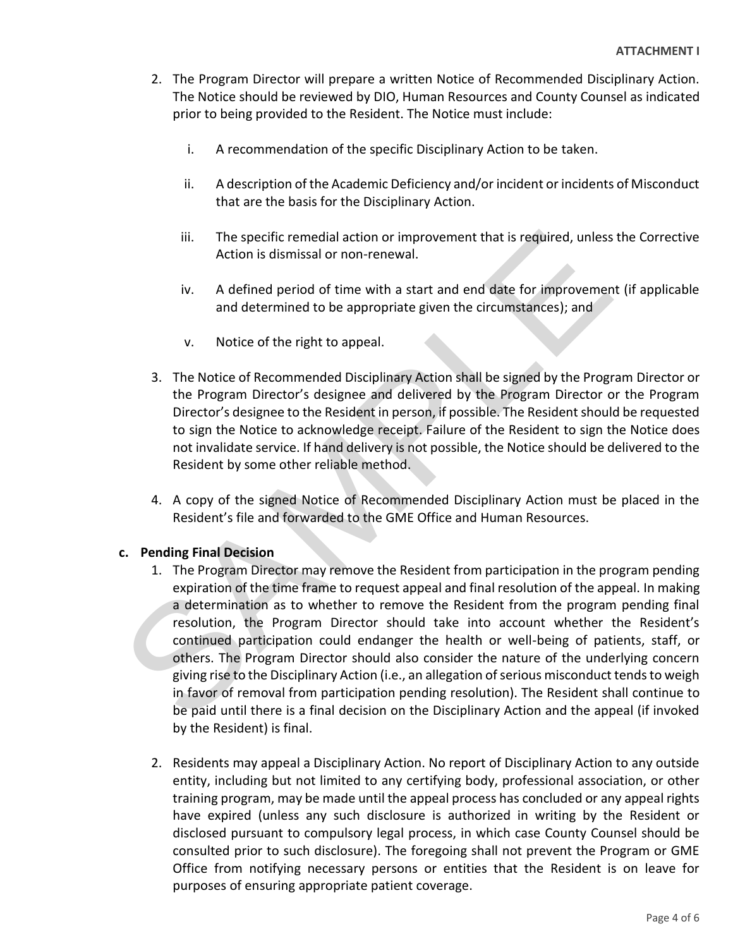- 2. The Program Director will prepare a written Notice of Recommended Disciplinary Action. The Notice should be reviewed by DIO, Human Resources and County Counsel as indicated prior to being provided to the Resident. The Notice must include:
	- i. A recommendation of the specific Disciplinary Action to be taken.
	- ii. A description of the Academic Deficiency and/or incident or incidents of Misconduct that are the basis for the Disciplinary Action.
	- iii. The specific remedial action or improvement that is required, unless the Corrective Action is dismissal or non-renewal.
	- iv. A defined period of time with a start and end date for improvement (if applicable and determined to be appropriate given the circumstances); and
	- v. Notice of the right to appeal.
- 3. The Notice of Recommended Disciplinary Action shall be signed by the Program Director or the Program Director's designee and delivered by the Program Director or the Program Director's designee to the Resident in person, if possible. The Resident should be requested to sign the Notice to acknowledge receipt. Failure of the Resident to sign the Notice does not invalidate service. If hand delivery is not possible, the Notice should be delivered to the Resident by some other reliable method.
- 4. A copy of the signed Notice of Recommended Disciplinary Action must be placed in the Resident's file and forwarded to the GME Office and Human Resources.

#### **c. Pending Final Decision**

- 1. The Program Director may remove the Resident from participation in the program pending expiration of the time frame to request appeal and final resolution of the appeal. In making a determination as to whether to remove the Resident from the program pending final resolution, the Program Director should take into account whether the Resident's continued participation could endanger the health or well-being of patients, staff, or others. The Program Director should also consider the nature of the underlying concern giving rise to the Disciplinary Action (i.e., an allegation of serious misconduct tends to weigh in favor of removal from participation pending resolution). The Resident shall continue to be paid until there is a final decision on the Disciplinary Action and the appeal (if invoked by the Resident) is final. iii. The specific remedial action or improvement that is required, unless<br>Action is dismissal or non-renewal.<br>iv. A defined period of time with a start and end date for improveme<br>and determined to be appropriate given the
	- 2. Residents may appeal a Disciplinary Action. No report of Disciplinary Action to any outside entity, including but not limited to any certifying body, professional association, or other training program, may be made until the appeal process has concluded or any appeal rights have expired (unless any such disclosure is authorized in writing by the Resident or disclosed pursuant to compulsory legal process, in which case County Counsel should be consulted prior to such disclosure). The foregoing shall not prevent the Program or GME Office from notifying necessary persons or entities that the Resident is on leave for purposes of ensuring appropriate patient coverage.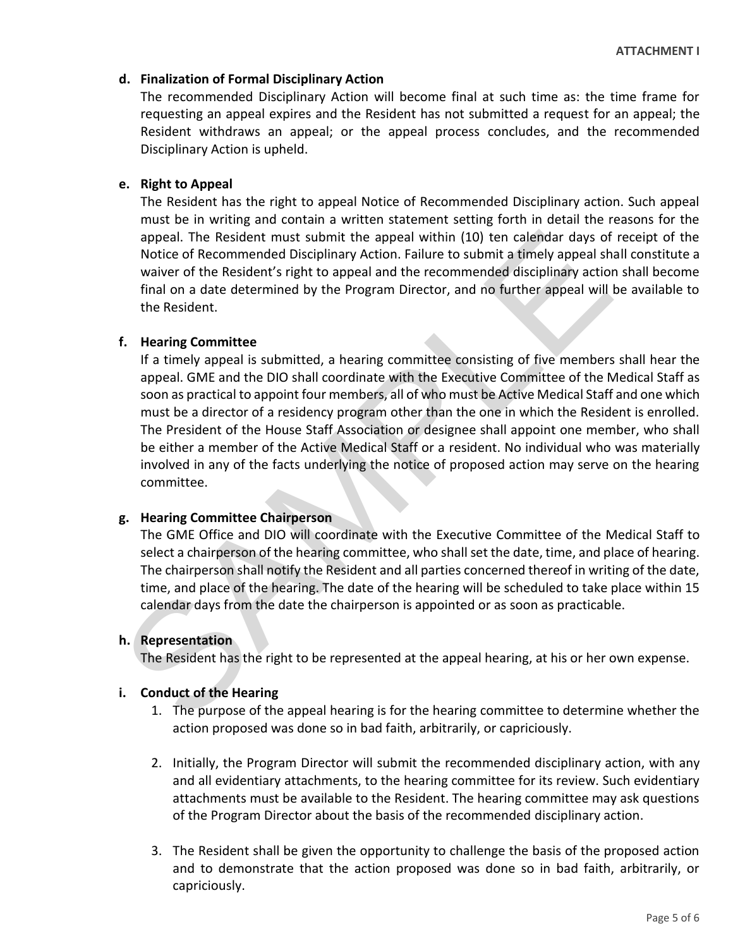#### **d. Finalization of Formal Disciplinary Action**

The recommended Disciplinary Action will become final at such time as: the time frame for requesting an appeal expires and the Resident has not submitted a request for an appeal; the Resident withdraws an appeal; or the appeal process concludes, and the recommended Disciplinary Action is upheld.

#### **e. Right to Appeal**

The Resident has the right to appeal Notice of Recommended Disciplinary action. Such appeal must be in writing and contain a written statement setting forth in detail the reasons for the appeal. The Resident must submit the appeal within (10) ten calendar days of receipt of the Notice of Recommended Disciplinary Action. Failure to submit a timely appeal shall constitute a waiver of the Resident's right to appeal and the recommended disciplinary action shall become final on a date determined by the Program Director, and no further appeal will be available to the Resident.

#### **f. Hearing Committee**

If a timely appeal is submitted, a hearing committee consisting of five members shall hear the appeal. GME and the DIO shall coordinate with the Executive Committee of the Medical Staff as soon as practical to appoint four members, all of who must be Active Medical Staff and one which must be a director of a residency program other than the one in which the Resident is enrolled. The President of the House Staff Association or designee shall appoint one member, who shall be either a member of the Active Medical Staff or a resident. No individual who was materially involved in any of the facts underlying the notice of proposed action may serve on the hearing committee. appeal. The Resident must submit the appeal within (10) ten calendar days of<br>Notice of Recommended Disciplinary Action. Failure to submit a timely appeal stive waiver of the Resident's right to appeal and the recommended d

#### **g. Hearing Committee Chairperson**

The GME Office and DIO will coordinate with the Executive Committee of the Medical Staff to select a chairperson of the hearing committee, who shall set the date, time, and place of hearing. The chairperson shall notify the Resident and all parties concerned thereof in writing of the date, time, and place of the hearing. The date of the hearing will be scheduled to take place within 15 calendar days from the date the chairperson is appointed or as soon as practicable.

#### **h. Representation**

The Resident has the right to be represented at the appeal hearing, at his or her own expense.

#### **i. Conduct of the Hearing**

- 1. The purpose of the appeal hearing is for the hearing committee to determine whether the action proposed was done so in bad faith, arbitrarily, or capriciously.
- 2. Initially, the Program Director will submit the recommended disciplinary action, with any and all evidentiary attachments, to the hearing committee for its review. Such evidentiary attachments must be available to the Resident. The hearing committee may ask questions of the Program Director about the basis of the recommended disciplinary action.
- 3. The Resident shall be given the opportunity to challenge the basis of the proposed action and to demonstrate that the action proposed was done so in bad faith, arbitrarily, or capriciously.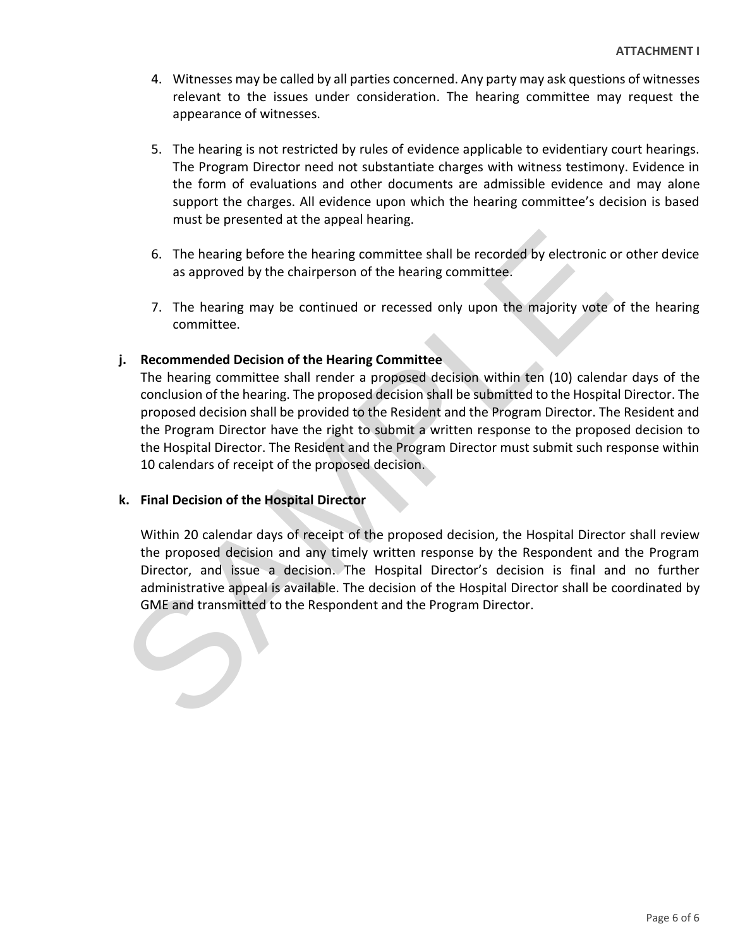- 4. Witnesses may be called by all parties concerned. Any party may ask questions of witnesses relevant to the issues under consideration. The hearing committee may request the appearance of witnesses.
- 5. The hearing is not restricted by rules of evidence applicable to evidentiary court hearings. The Program Director need not substantiate charges with witness testimony. Evidence in the form of evaluations and other documents are admissible evidence and may alone support the charges. All evidence upon which the hearing committee's decision is based must be presented at the appeal hearing.
- 6. The hearing before the hearing committee shall be recorded by electronic or other device as approved by the chairperson of the hearing committee.
- 7. The hearing may be continued or recessed only upon the majority vote of the hearing committee.

#### **j. Recommended Decision of the Hearing Committee**

The hearing committee shall render a proposed decision within ten (10) calendar days of the conclusion of the hearing. The proposed decision shall be submitted to the Hospital Director. The proposed decision shall be provided to the Resident and the Program Director. The Resident and the Program Director have the right to submit a written response to the proposed decision to the Hospital Director. The Resident and the Program Director must submit such response within 10 calendars of receipt of the proposed decision. 6. The hearing before the hearing committee shall be recorded by electronic<br>os approved by the chairperson of the hearing committee.<br>7. The hearing may be continued or recessed only upon the majority vote<br>committee.<br>1. Rec

#### **k. Final Decision of the Hospital Director**

Within 20 calendar days of receipt of the proposed decision, the Hospital Director shall review the proposed decision and any timely written response by the Respondent and the Program Director, and issue a decision. The Hospital Director's decision is final and no further administrative appeal is available. The decision of the Hospital Director shall be coordinated by GME and transmitted to the Respondent and the Program Director.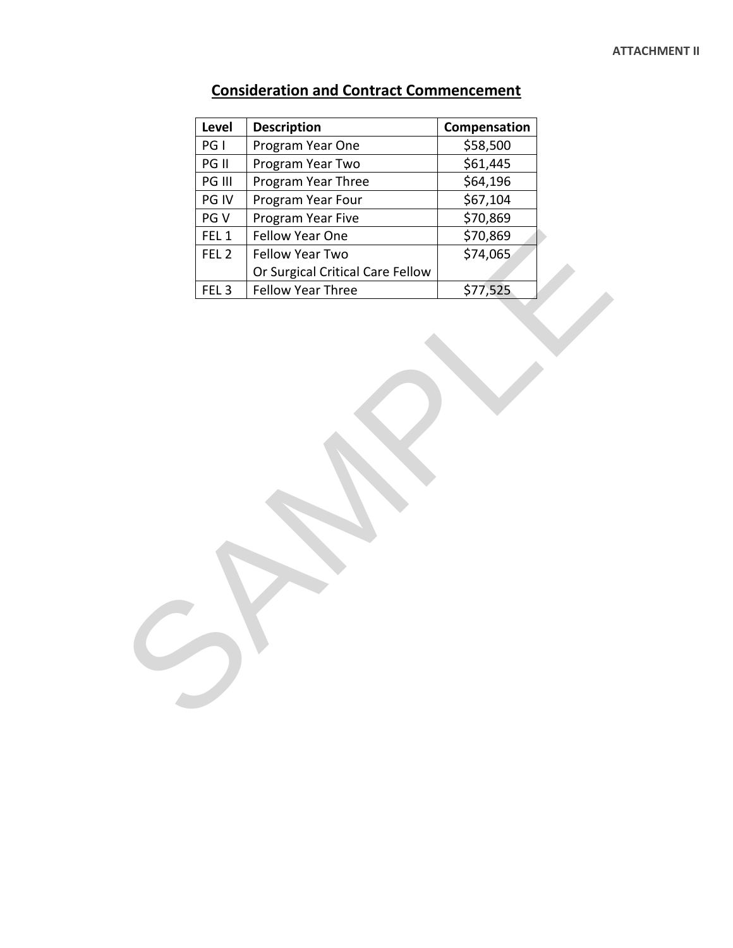#### **ATTACHMENT II**

| PG I             | <b>Description</b>               | Compensation |
|------------------|----------------------------------|--------------|
|                  | Program Year One                 | \$58,500     |
| PG II            | Program Year Two                 | \$61,445     |
| PG III           | Program Year Three               | \$64,196     |
| PG IV            | Program Year Four                | \$67,104     |
| PG V             | Program Year Five                | \$70,869     |
| FEL <sub>1</sub> | Fellow Year One                  | \$70,869     |
| FEL <sub>2</sub> | Fellow Year Two                  | \$74,065     |
|                  | Or Surgical Critical Care Fellow |              |
| FEL <sub>3</sub> | Fellow Year Three                | \$77,525     |
|                  |                                  |              |

## **Consideration and Contract Commencement**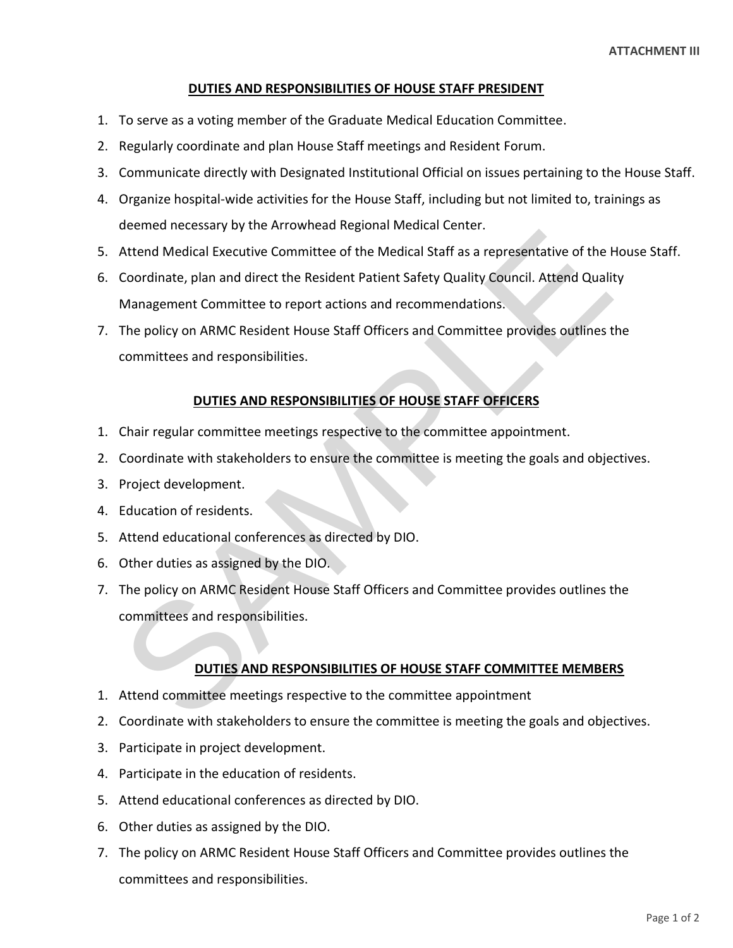#### **DUTIES AND RESPONSIBILITIES OF HOUSE STAFF PRESIDENT**

- 1. To serve as a voting member of the Graduate Medical Education Committee.
- 2. Regularly coordinate and plan House Staff meetings and Resident Forum.
- 3. Communicate directly with Designated Institutional Official on issues pertaining to the House Staff.
- 4. Organize hospital-wide activities for the House Staff, including but not limited to, trainings as deemed necessary by the Arrowhead Regional Medical Center.
- 5. Attend Medical Executive Committee of the Medical Staff as a representative of the House Staff.
- 6. Coordinate, plan and direct the Resident Patient Safety Quality Council. Attend Quality Management Committee to report actions and recommendations.
- 7. The policy on ARMC Resident House Staff Officers and Committee provides outlines the committees and responsibilities. Example and direct the Medical Staff as a representative of the Medical Staff as a representative of the Netdical Staff as a representative of the Coordinate, plan and direct the Resident Patient Safety Quality Council. At

#### **DUTIES AND RESPONSIBILITIES OF HOUSE STAFF OFFICERS**

- 1. Chair regular committee meetings respective to the committee appointment.
- 2. Coordinate with stakeholders to ensure the committee is meeting the goals and objectives.
- 3. Project development.
- 4. Education of residents.
- 5. Attend educational conferences as directed by DIO.
- 6. Other duties as assigned by the DIO.
- 7. The policy on ARMC Resident House Staff Officers and Committee provides outlines the committees and responsibilities.

#### **DUTIES AND RESPONSIBILITIES OF HOUSE STAFF COMMITTEE MEMBERS**

- 1. Attend committee meetings respective to the committee appointment
- 2. Coordinate with stakeholders to ensure the committee is meeting the goals and objectives.
- 3. Participate in project development.
- 4. Participate in the education of residents.
- 5. Attend educational conferences as directed by DIO.
- 6. Other duties as assigned by the DIO.
- 7. The policy on ARMC Resident House Staff Officers and Committee provides outlines the committees and responsibilities.